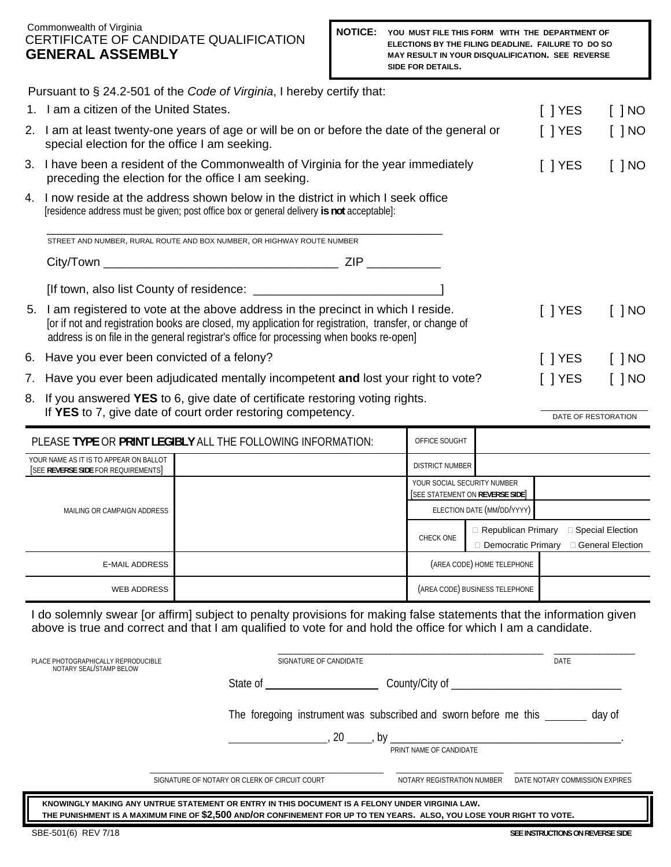#### Commonwealth of Virginia CERTIFICATE OF CANDIDATE QUALIFICATION **GENERAL ASSEMBLY**

|                                                      |                                                                                                                                                                                                                                                                                        | Pursuant to § 24.2-501 of the Code of Virginia, I hereby certify that:                                                                                                         |  |                                                                |                                                                                       |                      |                     |
|------------------------------------------------------|----------------------------------------------------------------------------------------------------------------------------------------------------------------------------------------------------------------------------------------------------------------------------------------|--------------------------------------------------------------------------------------------------------------------------------------------------------------------------------|--|----------------------------------------------------------------|---------------------------------------------------------------------------------------|----------------------|---------------------|
|                                                      | 1. I am a citizen of the United States.                                                                                                                                                                                                                                                |                                                                                                                                                                                |  |                                                                |                                                                                       |                      | $[$ $]$ NO          |
|                                                      | 2. I am at least twenty-one years of age or will be on or before the date of the general or<br>special election for the office I am seeking.                                                                                                                                           |                                                                                                                                                                                |  |                                                                |                                                                                       | $\lceil$   YES       | $[$ $]$ NO          |
|                                                      | 3. I have been a resident of the Commonwealth of Virginia for the year immediately<br>preceding the election for the office I am seeking.                                                                                                                                              |                                                                                                                                                                                |  |                                                                | $\lceil$   YES                                                                        | $\lceil$ $\rceil$ NO |                     |
|                                                      |                                                                                                                                                                                                                                                                                        | 4. I now reside at the address shown below in the district in which I seek office<br>[residence address must be given; post office box or general delivery is not acceptable]: |  |                                                                |                                                                                       |                      |                     |
|                                                      |                                                                                                                                                                                                                                                                                        | STREET AND NUMBER, RURAL ROUTE AND BOX NUMBER, OR HIGHWAY ROUTE NUMBER                                                                                                         |  |                                                                |                                                                                       |                      |                     |
|                                                      |                                                                                                                                                                                                                                                                                        |                                                                                                                                                                                |  |                                                                |                                                                                       |                      |                     |
|                                                      |                                                                                                                                                                                                                                                                                        |                                                                                                                                                                                |  |                                                                |                                                                                       |                      |                     |
|                                                      | 5. I am registered to vote at the above address in the precinct in which I reside.<br>for if not and registration books are closed, my application for registration, transfer, or change of<br>address is on file in the general registrar's office for processing when books re-open] |                                                                                                                                                                                |  |                                                                |                                                                                       | $[$ $]$ YES          | $[$ $]$ NO          |
| 6.                                                   | Have you ever been convicted of a felony?                                                                                                                                                                                                                                              |                                                                                                                                                                                |  |                                                                |                                                                                       | $[$ $]$ YES          | $[$ $]$ NO          |
| 7.                                                   | Have you ever been adjudicated mentally incompetent and lost your right to vote?                                                                                                                                                                                                       |                                                                                                                                                                                |  |                                                                |                                                                                       | $\lceil$   YES       | $[$ $]$ NO          |
| 8.                                                   | If you answered YES to 6, give date of certificate restoring voting rights.<br>If YES to 7, give date of court order restoring competency.                                                                                                                                             |                                                                                                                                                                                |  |                                                                |                                                                                       |                      | DATE OF RESTORATION |
|                                                      |                                                                                                                                                                                                                                                                                        | PLEASE TYPE OR PRINT LEGIBLY ALL THE FOLLOWING INFORMATION:                                                                                                                    |  | OFFICE SOUGHT                                                  |                                                                                       |                      |                     |
|                                                      | YOUR NAME AS IT IS TO APPEAR ON BALLOT<br>[SEE REVERSE SIDE FOR REQUIREMENTS]                                                                                                                                                                                                          |                                                                                                                                                                                |  | DISTRICT NUMBER                                                |                                                                                       |                      |                     |
|                                                      |                                                                                                                                                                                                                                                                                        |                                                                                                                                                                                |  | YOUR SOCIAL SECURITY NUMBER<br>[SEE STATEMENT ON REVERSE SIDE] |                                                                                       |                      |                     |
| MAILING OR CAMPAIGN ADDRESS<br><b>E-MAIL ADDRESS</b> |                                                                                                                                                                                                                                                                                        |                                                                                                                                                                                |  | ELECTION DATE (MM/DD/YYYY)                                     |                                                                                       |                      |                     |
|                                                      |                                                                                                                                                                                                                                                                                        |                                                                                                                                                                                |  | CHECK ONE                                                      | Republican Primary <b>D</b> Special Election<br>Democratic Primary D General Election |                      |                     |
|                                                      |                                                                                                                                                                                                                                                                                        |                                                                                                                                                                                |  | (AREA CODE) HOME TELEPHONE                                     |                                                                                       |                      |                     |
|                                                      | <b>WEB ADDRESS</b>                                                                                                                                                                                                                                                                     |                                                                                                                                                                                |  |                                                                | (AREA CODE) BUSINESS TELEPHONE                                                        |                      |                     |

 I do solemnly swear [or affirm] subject to penalty provisions for making false statements that the information given above is true and correct and that I am qualified to vote for and hold the office for which I am a candidate.

| PLACE PHOTOGRAPHICALLY REPRODUCIBLE<br>NOTARY SEAL/STAMP BELOW                                                                                                                                                            | SIGNATURE OF CANDIDATE                        |                                                                            | DATE                             |  |  |  |  |
|---------------------------------------------------------------------------------------------------------------------------------------------------------------------------------------------------------------------------|-----------------------------------------------|----------------------------------------------------------------------------|----------------------------------|--|--|--|--|
|                                                                                                                                                                                                                           | State of the state of                         | County/City of _                                                           |                                  |  |  |  |  |
|                                                                                                                                                                                                                           |                                               | The foregoing instrument was subscribed and sworn before me this<br>day of |                                  |  |  |  |  |
|                                                                                                                                                                                                                           | 20, by                                        | PRINT NAME OF CANDIDATE                                                    |                                  |  |  |  |  |
|                                                                                                                                                                                                                           | SIGNATURE OF NOTARY OR CLERK OF CIRCUIT COURT | NOTARY REGISTRATION NUMBER                                                 | DATE NOTARY COMMISSION EXPIRES   |  |  |  |  |
| KNOWINGLY MAKING ANY UNTRUE STATEMENT OR ENTRY IN THIS DOCUMENT IS A FELONY UNDER VIRGINIA LAW.<br>THE PUNISHMENT IS A MAXIMUM FINE OF \$2,500 AND/OR CONFINEMENT FOR UP TO TEN YEARS. ALSO, YOU LOSE YOUR RIGHT TO VOTE. |                                               |                                                                            |                                  |  |  |  |  |
| SBE-501(6) REV 7/18                                                                                                                                                                                                       |                                               |                                                                            | SEE INSTRUCTIONS ON REVERSE SIDE |  |  |  |  |